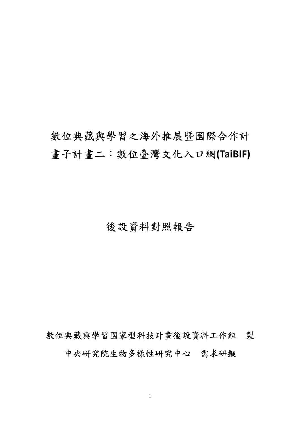# 數位典藏與學習之海外推展暨國際合作計 畫子計畫二:數位臺灣文化入口網**(TaiBIF)**

# 後設資料對照報告

數位典藏與學習國家型科技計畫後設資料工作組 製

中央研究院生物多樣性研究中心 需求研擬

1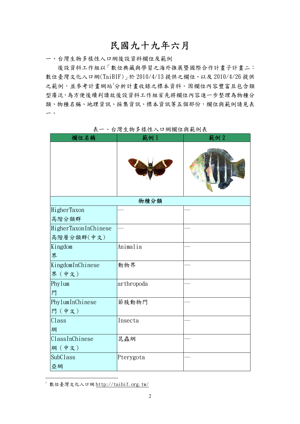## 民國九十九年六月

一、台灣生物多樣性入口網後設資料欄位及範例

後設資料工作組以「數位典藏與學習之海外推展暨國際合作計畫子計畫二: 數位臺灣文化入口網(TaiBIF)」於 2010/4/13 提供之欄位、以及 2010/4/26 提供 之範例,並參考計畫網站<sup>1</sup>分析計畫收錄之標本資料。因欄位內容豐富且包含類 型廣泛,為方便後續判讀故後設資料工作組首先將欄位內容進一步整理為物種分 類、物種名稱、地理資訊、採集資訊、標本資訊等五個部份,欄位與範例請見表 一。

| 欄位名稱                 | 範例1        | 範例2 |  |
|----------------------|------------|-----|--|
|                      |            |     |  |
|                      | 物種分類       |     |  |
| HigherTaxon          |            |     |  |
| 高階分類群                |            |     |  |
| HigherTaxonInChinese |            |     |  |
| 高階層分類群(中文)           |            |     |  |
| Kingdom              | Animalia   |     |  |
| 界                    |            |     |  |
| KingdomInChinese     | 動物界        |     |  |
| 界(中文)                |            |     |  |
| Phylum               | arthropoda |     |  |
| 門                    |            |     |  |
| PhylumInChinese      | 節肢動物門      |     |  |
| 門 (中文)               |            |     |  |
| Class                | Insecta    |     |  |
| 綱                    |            |     |  |
| ClassInChinese       | 昆蟲綱        |     |  |
| 綱(中文)                |            |     |  |
| SubClass             | Pterygota  |     |  |
| 亞網                   |            |     |  |

表一、台灣生物多樣性入口網欄位與範例表

 $\overline{a}$ 

 $^{\rm 1}$  數位臺灣文化入口網 http://taibif.org.tw/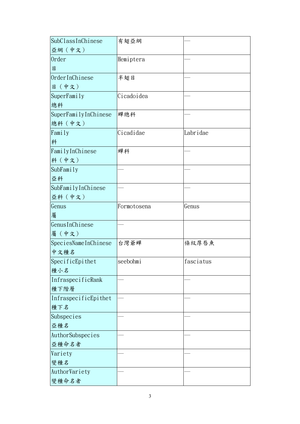| SubClassInChinese    | 有翅亞綱        |           |  |
|----------------------|-------------|-----------|--|
| 亞網(中文)               |             |           |  |
| <b>Order</b>         | Hemiptera   |           |  |
| 目                    |             |           |  |
| OrderInChinese       | 半翅目         |           |  |
| 目 (中文)               |             |           |  |
| SuperFamily          | Cicadoidea  |           |  |
| 總科                   |             |           |  |
| SuperFamilyInChinese | 蟬總科         |           |  |
| 總科 (中文)              |             |           |  |
| Family               | Cicadidae   | Labridae  |  |
| 科                    |             |           |  |
| FamilyInChinese      | 蟬科          |           |  |
| 科 (中文)               |             |           |  |
| SubFamily            |             |           |  |
| 亞科                   |             |           |  |
| SubFamilyInChinese   |             |           |  |
| 亞科 (中文)              |             |           |  |
| Genus                | Formotosena | Genus     |  |
| 屬                    |             |           |  |
| GenusInChinese       |             |           |  |
| 屬(中文)                |             |           |  |
| SpeciesNameInChinese | 台灣爺蟬        | 條紋厚唇魚     |  |
| 中文種名                 |             |           |  |
| SpecificEpithet      | seebohmi    | fasciatus |  |
| 種小名                  |             |           |  |
| InfraspecificRank    |             |           |  |
| 種下階層                 |             |           |  |
| InfraspecificEpithet |             |           |  |
| 種下名                  |             |           |  |
| Subspecies           |             |           |  |
| 亞種名                  |             |           |  |
| AuthorSubspecies     |             |           |  |
| 亞種命名者                |             |           |  |
| Variety              |             |           |  |
| 變種名                  |             |           |  |
| AuthorVariety        |             |           |  |
| 變種命名者                |             |           |  |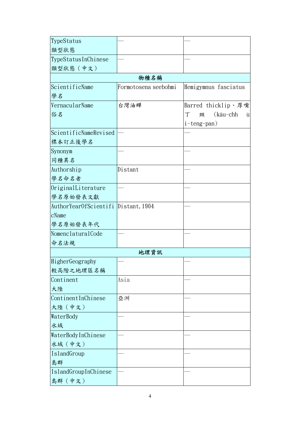| TypeStatus                          |                      |                         |
|-------------------------------------|----------------------|-------------------------|
| 類型狀態                                |                      |                         |
| TypeStatusInChinese                 |                      |                         |
| 類型狀態 (中文)                           |                      |                         |
|                                     | 物種名稱                 |                         |
| ScientificName                      | Formotosena seebohmi | Hemigymnus fasciatus    |
| 學名                                  |                      |                         |
| VernacularName                      | 台灣油蟬                 | Barred thicklip、厚嘴      |
| 俗名                                  |                      | (kâu-chh<br>丁<br>斑<br>ù |
|                                     |                      | i-teng-pan)             |
| ScientificNameRevised               |                      |                         |
| 标本訂正後學名                             |                      |                         |
| Synonym                             |                      |                         |
| 同種異名                                |                      |                         |
| Authorship                          | Distant              |                         |
| 學名命名者                               |                      |                         |
| OriginalLiterature                  |                      |                         |
| 學名原始發表文獻                            |                      |                         |
| AuthorYearOfScientifi Distant, 1904 |                      |                         |
| cName                               |                      |                         |
| 學名原始發表年代                            |                      |                         |
| NomenclaturalCode                   |                      |                         |
| 命名法規                                |                      |                         |
|                                     | 地理資訊                 |                         |
| HigherGeography                     |                      |                         |
| 較高階之地理區名稱                           |                      |                         |
| Continent                           | Asia                 |                         |
| 大陸                                  |                      |                         |
| ContinentInChinese                  | 亞洲                   |                         |
| 大陸 (中文)                             |                      |                         |
| WaterBody                           |                      |                         |
| 水域                                  |                      |                         |
| WaterBodyInChinese                  |                      |                         |
| 水域(中文)                              |                      |                         |
| IslandGroup                         |                      |                         |
| 島群                                  |                      |                         |
| IslandGroupInChinese                |                      |                         |
| 島群(中文)                              |                      |                         |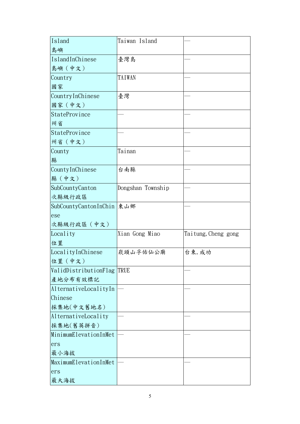| Island                     | Taiwan Island     |                     |
|----------------------------|-------------------|---------------------|
| 島嶼                         |                   |                     |
| IslandInChinese            | 臺灣島               |                     |
| 島嶼 (中文)                    |                   |                     |
| Country                    | TAIWAN            |                     |
| 國家                         |                   |                     |
| CountryInChinese           | 臺灣                |                     |
| 國家 (中文)                    |                   |                     |
| StateProvince              |                   |                     |
| 州省                         |                   |                     |
| StateProvince              |                   |                     |
| 州省 (中文)                    |                   |                     |
| County                     | Tainan            |                     |
| 縣                          |                   |                     |
| CountyInChinese            | 台南縣               |                     |
| 縣(中文)                      |                   |                     |
| SubCountyCanton            | Dongshan Township |                     |
| 次縣級行政區                     |                   |                     |
| SubCountyCantonInChin 東山鄉  |                   |                     |
| ese                        |                   |                     |
| 次縣級行政區 (中文)                |                   |                     |
| Locality                   | Xian Gong Miao    | Taitung, Cheng gong |
| 位置                         |                   |                     |
| LocalityInChinese          | 崁頭山孚佑仙公廟          | 台東, 成功              |
| 位置 (中文)                    |                   |                     |
| ValidDistributionFlag TRUE |                   |                     |
| 產地分布有效標記                   |                   |                     |
| AlternativeLocalityIn      |                   |                     |
| Chinese                    |                   |                     |
| 採集地(中文舊地名)                 |                   |                     |
| AlternativeLocality        |                   |                     |
| 採集地(舊英拼音)                  |                   |                     |
| MinimumElevationInMet      |                   |                     |
| ers                        |                   |                     |
| 最小海拔                       |                   |                     |
| MaximumElevationInMet      |                   |                     |
| ers                        |                   |                     |
| 最大海拔                       |                   |                     |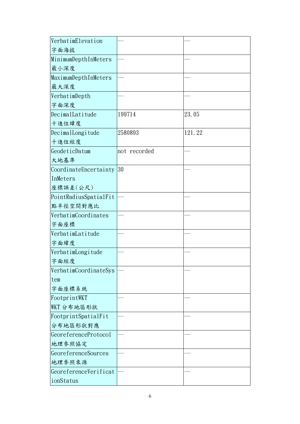| VerbatimElevation     |              |        |
|-----------------------|--------------|--------|
| 字面海拔                  |              |        |
| MinimumDepthInMeters  |              |        |
| 最小深度                  |              |        |
| MaximumDepthInMeters  |              |        |
| 最大深度                  |              |        |
| VerbatimDepth         |              |        |
| 字面深度                  |              |        |
| DecimalLatitude       | 199714       | 23.05  |
| 十進位緯度                 |              |        |
| DecimalLongitude      | 2580893      | 121.22 |
| 十進位經度                 |              |        |
| GeodeticDatum         | not recorded |        |
| 大地基準                  |              |        |
| CoordinateUncertainty | 30           |        |
| InMeters              |              |        |
| 座標誤差(公尺)              |              |        |
| PointRadiusSpatialFit |              |        |
| 點半徑空間對應比              |              |        |
| VerbatimCoordinates   |              |        |
| 字面座標                  |              |        |
| VerbatimLatitude      |              |        |
| 字面緯度                  |              |        |
| VerbatimLongitude     |              |        |
| 字面經度                  |              |        |
| VerbatimCoordinateSys |              |        |
| tem                   |              |        |
| 字面座標系統                |              |        |
| FootprintWKT          |              |        |
| WKT 分布地區形狀            |              |        |
| FootprintSpatialFit   |              |        |
| 分布地區形狀對應              |              |        |
| GeoreferenceProtocol  |              |        |
| 地理參照協定                |              |        |
| GeoreferenceSources   |              |        |
| 地理参照來源                |              |        |
| GeoreferenceVerificat |              |        |
| ionStatus             |              |        |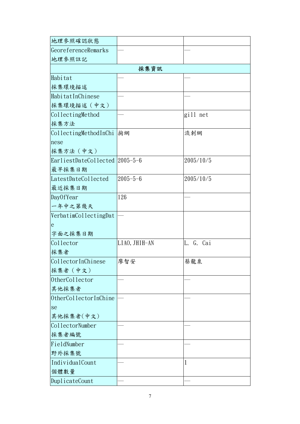| 地理參照確認狀態                       |                |           |
|--------------------------------|----------------|-----------|
| GeoreferenceRemarks            |                |           |
| 地理參照註記                         |                |           |
|                                | 採集資訊           |           |
| Habitat                        |                |           |
| 採集環境描述                         |                |           |
| HabitatInChinese               |                |           |
| 採集環境描述 (中文)                    |                |           |
| CollectingMethod               |                | gill net  |
| 採集方法                           |                |           |
| CollectingMethodInChi          | 掬網             | 流刺網       |
| nese                           |                |           |
| 採集方法 (中文)                      |                |           |
| EarliestDateCollected 2005-5-6 |                | 2005/10/5 |
| 最早採集日期                         |                |           |
| LatestDateCollected            | $2005 - 5 - 6$ | 2005/10/5 |
| 最近採集日期                         |                |           |
| DayOfYear                      | 126            |           |
| 一年中之第幾天                        |                |           |
| VerbatimCollectingDat          |                |           |
| e                              |                |           |
| 字面之採集日期                        |                |           |
| Collector                      | LIAO, JHIH-AN  | L. G. Cai |
| 採集者                            |                |           |
| CollectorInChinese             | 廖智安            | 蔡龍泉       |
| 採集者 (中文)                       |                |           |
| OtherCollector                 |                |           |
| 其他採集者                          |                |           |
| OtherCollectorInChine          |                |           |
| se                             |                |           |
| 其他採集者(中文)                      |                |           |
| CollectorNumber                |                |           |
| 採集者編號                          |                |           |
| FieldNumber                    |                |           |
| 野外採集號                          |                |           |
| IndividualCount                |                | 1         |
| 個體數量                           |                |           |
| DuplicateCount                 |                |           |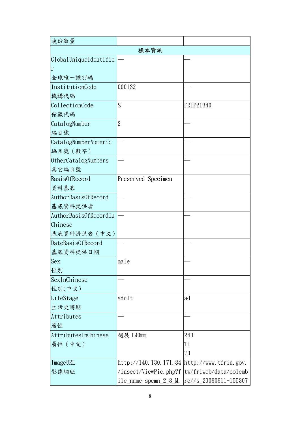| 複份數量                  |                          |                       |
|-----------------------|--------------------------|-----------------------|
|                       | 標本資訊                     |                       |
| GlobalUniqueIdentifie |                          |                       |
| r                     |                          |                       |
| 全球唯一識別碼               |                          |                       |
| InstitutionCode       | 000132                   |                       |
| 機構代碼                  |                          |                       |
| CollectionCode        | S                        | FRIP21340             |
| 館藏代碼                  |                          |                       |
| CatalogNumber         | $\overline{2}$           |                       |
| 編目號                   |                          |                       |
| CatalogNumberNumeric  |                          |                       |
| 編目號 (數字)              |                          |                       |
| OtherCatalogNumbers   |                          |                       |
| 其它編目號                 |                          |                       |
| BasisOfRecord         | Preserved Specimen       |                       |
| 資料基底                  |                          |                       |
| AuthorBasisOfRecord   |                          |                       |
| 基底資料提供者               |                          |                       |
| AuthorBasisOfRecordIn |                          |                       |
| Chinese               |                          |                       |
| 基底資料提供者 (中文)          |                          |                       |
| DateBasisOfRecord     |                          |                       |
| 基底資料提供日期              |                          |                       |
| Sex                   | male                     |                       |
| 性別                    |                          |                       |
| SexInChinese          |                          |                       |
| 性别(中文)                |                          |                       |
| LifeStage             | adult                    | ad                    |
| 生活史時期                 |                          |                       |
| Attributes            |                          |                       |
| 屬性                    |                          |                       |
| AttributesInChinese   | 翅展 190mm                 | 240                   |
| 屬性 (中文)               |                          | TL                    |
|                       |                          | 70                    |
| ImageURL              | http://140.130.171.84    | http://www.tfrin.gov. |
| 影像網址                  | $/$ insect/ViewPic.php?f | tw/friweb/data/colemb |
|                       | $i$ le_name=spcmn_2_8_M. | rc//s_20090911-155307 |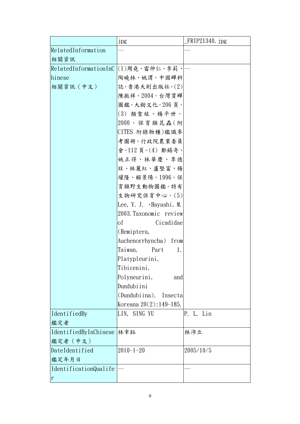|                             | <b>Jpg</b>                          | FRIP21340. jpg |  |  |  |
|-----------------------------|-------------------------------------|----------------|--|--|--|
| RelatedInformation          |                                     |                |  |  |  |
| 相關資訊                        |                                     |                |  |  |  |
|                             | RelatedInformationInC (1)周堯、雷仲仁、李莉、 |                |  |  |  |
| hinese                      | 陶曉林、姚渭。中國蟬科                         |                |  |  |  |
| 相關資訊 (中文)                   | 誌。香港天則出版社。(2)                       |                |  |  |  |
|                             | 陳振祥。2004。台灣賞蟬                       |                |  |  |  |
|                             | 圖鑑。大樹文化。206頁。                       |                |  |  |  |
|                             | (3) 顏聖紘、楊平世。                        |                |  |  |  |
|                             | $2000$ 。保育類昆蟲(附                     |                |  |  |  |
|                             | CITES 附錄物種)鑑識參                      |                |  |  |  |
|                             | 考圖冊。行政院農業委員                         |                |  |  |  |
|                             | 會。112頁。(4) 鄭錫奇、                     |                |  |  |  |
|                             | 姚正得、林華慶、李德                          |                |  |  |  |
|                             | 旺、林麗紅、盧堅富、楊                         |                |  |  |  |
|                             | 燿隆、賴景陽。1996。保                       |                |  |  |  |
|                             | 育類野生動物圖鑑。特有                         |                |  |  |  |
|                             | 生物研究保育中心。(5)                        |                |  |  |  |
|                             | Lee, Y. J. Mayashi, M.              |                |  |  |  |
|                             | 2003. Taxonomic review              |                |  |  |  |
|                             | Cicadidae<br>оf                     |                |  |  |  |
|                             | (Hemiptera,                         |                |  |  |  |
|                             | Auchenorrhyncha) from               |                |  |  |  |
|                             | Taiwan,<br>Part<br>1.               |                |  |  |  |
|                             | Platypleurini,                      |                |  |  |  |
|                             | Tibicenini,                         |                |  |  |  |
|                             | Polyneurini,<br>and                 |                |  |  |  |
|                             | Dundubiini                          |                |  |  |  |
|                             | (Dundubiina).<br>Insectal           |                |  |  |  |
|                             | Koreana $20(2):149-185$ .           |                |  |  |  |
| IdentifiedBy                | LIN, SING YU                        | P. L. Lin      |  |  |  |
| 鑑定者                         |                                     |                |  |  |  |
| IdentifiedByInChinese   林幸鈺 |                                     | 林沛立            |  |  |  |
| 鑑定者 (中文)                    |                                     |                |  |  |  |
| DateIdentified              | $2010 - 1 - 20$                     | 2005/10/5      |  |  |  |
| 鑑定年月日                       |                                     |                |  |  |  |
| IdentificationQualife       |                                     |                |  |  |  |
| $\mathbf r$                 |                                     |                |  |  |  |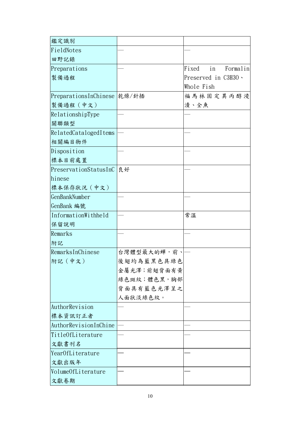| 鑑定識別                        |             |                         |
|-----------------------------|-------------|-------------------------|
| FieldNotes                  |             |                         |
| 田野記錄                        |             |                         |
| Preparations                |             | Fixed<br>in<br>Formalin |
| 製備過程                        |             | Preserved in C3H30 \    |
|                             |             | Whole Fish              |
| PreparationsInChinese 乾燥/針插 |             | 福馬林固定異丙醇浸               |
| 製備過程 (中文)                   |             | 漬、全魚                    |
| RelationshipType            |             |                         |
| 關聯類型                        |             |                         |
| RelatedCatalogedItems       |             |                         |
| 相關編目物件                      |             |                         |
| Disposition                 |             |                         |
| 標本目前處置                      |             |                         |
| PreservationStatusInC       | 良好          |                         |
| hinese                      |             |                         |
| 標本保存狀況 (中文)                 |             |                         |
| GenBankNumber               |             |                         |
| GenBank 編號                  |             |                         |
| InformationWithheld         |             | 常溫                      |
| 保留說明                        |             |                         |
| Remarks                     |             |                         |
| 附記                          |             |                         |
| RemarksInChinese            | 台灣體型最大的蟬,前、 |                         |
| 附記 (中文)                     | 後翅均為藍黑色具綠色  |                         |
|                             | 金屬光澤;前翅背面有黃 |                         |
|                             | 綠色斑紋;體色黑,胸部 |                         |
|                             | 背面具有藍色光澤呈之  |                         |
|                             | 人面狀淡綠色紋。    |                         |
| AuthorRevision              |             |                         |
| 標本資訊訂正者                     |             |                         |
| AuthorRevisionInChine       |             |                         |
| TitleOfLiterature           |             |                         |
| 文獻書刊名                       |             |                         |
| Year0fLiterature            |             |                         |
| 文獻出版年                       |             |                         |
| VolumeOfLiterature          |             |                         |
| 文獻卷期                        |             |                         |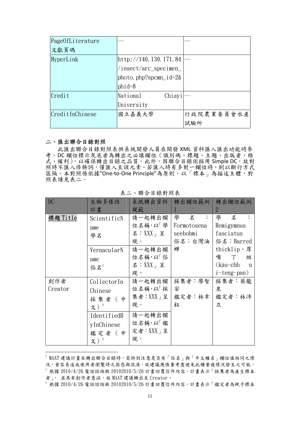| Page0fLiterature |                           |            |
|------------------|---------------------------|------------|
| 文獻頁碼             |                           |            |
| HyperLink        | http://140.130.171.84     |            |
|                  | $/$ insect/arc_specimen_  |            |
|                  | photo.php?spcmn_id= $2\&$ |            |
|                  | $phid=8$                  |            |
| Credit           | National<br>Chiayi        |            |
|                  | University                |            |
| CreditInChinese  | 國立嘉義大學                    | 行政院農業委員會水產 |
|                  |                           | 試驗所        |

#### 二、匯出聯合目錄對照

 $\overline{a}$ 

此匯出聯合目錄對照表供系統開發人員在開發 XML 資料匯入匯出功能時參 考。DC 欄位標示灰底者為轉出之必填欄位(識別碼、標題、主題、出版者、格 式、權利),以確保轉出目錄之品質。此外,因聯合目錄依採用 Simple DC, 故對 照時不匯入修飾詞,僅匯入至該元素。若匯入時有多對一欄位時,則以斷行方式 區隔。本對照係依據"One-to-One Principle"為原則,以「標本」為描述主體,對 照表請見表二。

| DC       | 生物多樣性       |               | 系統轉出資料   轉出欄位範例   轉出欄位範例 |             |
|----------|-------------|---------------|--------------------------|-------------|
|          | 計畫          | 規範            |                          | 2           |
| 標題 Title | ScientificN | 請一起轉出欄        | 學名:                      | 學 名         |
|          | ame         | 位名稱,以「學       | Formotosena              | Hemigymnus  |
|          | 學名          | 名: $XXX$ 」呈   | seebohmi                 | fasciatus   |
|          |             | 現。            | 俗名:台灣油                   | 俗名:Barred   |
|          | VernacularN | 請一起轉出欄        | 蟬                        | thicklip、厚  |
|          | ame         | 位名稱,以「俗       |                          | 嘴 丁<br>斑    |
|          | 俗名 $2$      | 名: $XX_+$ 呈   |                          | (kâu-chh ù  |
|          |             | 現。            |                          | i-teng-pan) |
| 創作者      | CollectorIn | 請一起轉出欄        | 採集者:廖智                   | 採集者:蔡龍      |
| Creator  | Chinese     | 位名稱,以「採       | 安                        | 泉           |
|          | 採集者 (中      | 集者: $XXX_1$ 呈 | 鑑定者:林幸                   | 鑑定者:林沛      |
|          | 文)3         | 現。            | 鈺                        | 立           |
|          | IdentifiedB | 請一起轉出欄        |                          |             |
|          | yInChinese  | 位名稱,以「鑑       |                          |             |
|          | 鑑定者 (中      | 定者: $XXX_1$ 呈 |                          |             |
|          | 文) $^4$     | 現。            |                          |             |

表二、聯合目錄對照表

 $^2$  MAAT 建議計畫在轉出聯合目錄時,需特別注意是否有「俗名」與「中文種名」欄位值相同之情 況,會容易造成使用者瀏覽時之困惑與混淆,故建議應慎重考慮避免此種重複情況發生之可能。  $^{\text{\tiny 3}}$  根據 2010/4/26 電話諮詢與 20102010/5/26 計畫回覆信件內容,計畫表示「採集者為產生標本 者」, 並具有創作者意涵,故 MAAT 建議轉出至 Creator。

根據 2010/4/26 電話諮詢與 20102010/5/26 計畫回覆信件內容,計畫表示「鑑定者為賦予標本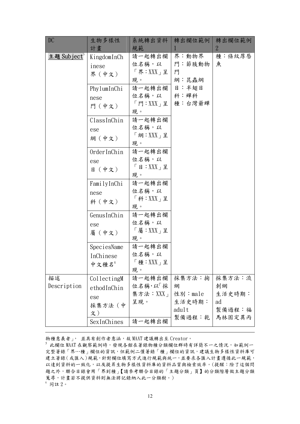| DC                      | 生物多樣性       | 系統轉出資料                      | 轉出欄位範例  | 轉出欄位範例         |
|-------------------------|-------------|-----------------------------|---------|----------------|
|                         | 計畫          | 規範                          |         | $\overline{2}$ |
| 主題 Subject <sup>5</sup> | KingdomInCh | 請一起轉出欄                      | 界:動物界   | 種:條紋厚唇         |
|                         | inese       | 位名稱,以                       | 門:節肢動物  | 魚              |
|                         | 界(中文)       | 「界: XXX」呈                   | 門       |                |
|                         |             | 現。                          | 綱:昆蟲綱   |                |
|                         | PhylumInChi | 請一起轉出欄                      | 目:半翅目   |                |
|                         | nese        | 位名稱,以                       | 科:蟬科    |                |
|                         | 門 (中文)      | 「門:XXX」呈                    | 種:台灣爺蟬  |                |
|                         |             | 現。                          |         |                |
|                         | ClassInChin | 請一起轉出欄                      |         |                |
|                         | ese         | 位名稱,以                       |         |                |
|                         | 綱(中文)       | $\lceil$ 綱 : XXX $\lceil$ 呈 |         |                |
|                         |             | 現。                          |         |                |
|                         | OrderInChin | 請一起轉出欄                      |         |                |
|                         | ese         | 位名稱,以                       |         |                |
|                         | 目 (中文)      | 「目: XXX」呈                   |         |                |
|                         |             | 現。                          |         |                |
|                         | FamilyInChi | 請一起轉出欄                      |         |                |
|                         | nese        | 位名稱,以                       |         |                |
|                         | 科 (中文)      | 「科: XXX」呈                   |         |                |
|                         |             | 現。                          |         |                |
|                         | GenusInChin | 請一起轉出欄                      |         |                |
|                         | ese         | 位名稱,以                       |         |                |
|                         | 屬 (中文)      | 「屬:XXX」呈                    |         |                |
|                         |             | 現。                          |         |                |
|                         | SpeciesName | 請一起轉出欄                      |         |                |
|                         | InChinese   | 位名稱,以<br>「種:XXX」呈           |         |                |
|                         | 中文種名        | 現。                          |         |                |
| 描述                      | CollectingM | 請一起轉出欄                      | 採集方法:掬  | 採集方法:流         |
| Description             | ethodInChin | 位名稱,以「採                     | 網       | 刺網             |
|                         |             | 集方法: $XX_1$                 | 性別:male | 生活史時期:         |
|                         | ese         | 呈現。                         | 生活史時期:  | ad             |
|                         | 採集方法 (中     |                             | adult   | 製備過程:福         |
|                         | 文)          |                             |         | 製備過程:乾 馬林固定異丙  |
|                         | SexInChines | 請一起轉出欄                      |         |                |

物種意義者」, 並具有創作者意涵,故 MAAT 建議轉出至 Creator。

 $\overline{a}$ 

s<br>比欄位 MAAT 在觀察範例時,發現各館在著錄物種分類欄位群時有詳簡不一之情況,如範例一 完整著錄「界…種」欄位的資訊,但範例二僅著錄「種」欄位的資訊,建議生物多樣性資料庫可 建立著錄(或匯入)規範,針對欄位填寫方式進行規範與統一,並要求各匯入計畫遵循此一規範, 以達到資料的一致化,以及提昇生物多樣性資料庫的資料品質與檢索效率。(提醒:除了這個問 題之外,聯合目錄會用「界到種」【請參考聯合目錄的「主題分類」頁】的分類階層做主題分類 蒐尋,計畫若不提供資料則無法將記錄納入此一分類樹。) 6 同註 2。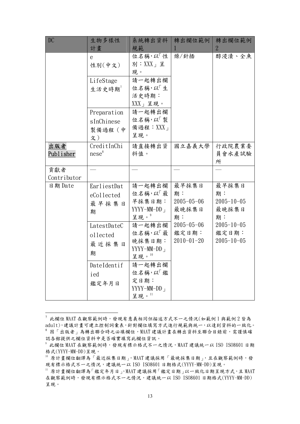| DC                      | 生物多樣性<br>計畫                               | 系統轉出資料<br>規範                                                 | 轉出欄位範例<br>1                                    | 轉出欄位範例<br>$\overline{2}$                       |
|-------------------------|-------------------------------------------|--------------------------------------------------------------|------------------------------------------------|------------------------------------------------|
|                         | e<br>性别(中文)                               | 位名稱,以「性<br>別: $XXX_{\perp}$ 呈<br>現。                          | 燥/針插                                           | 醇浸漬、全魚                                         |
|                         | LifeStage<br>生活史時期                        | 請一起轉出欄<br>位名稱,以「生<br>活史時期:<br>$XXX$ 」呈現。                     |                                                |                                                |
|                         | Preparation<br>sInChinese<br>製備過程(中<br>文) | 請一起轉出欄<br>位名稱,以「製<br>備過程:XXX」<br>呈現。                         |                                                |                                                |
| 出版者<br><u>Publisher</u> | CreditInChi<br>nese <sup>8</sup>          | 請直接轉出資<br>料值。                                                | 國立嘉義大學                                         | 行政院農業委<br>員會水產試驗<br>所                          |
| 貢獻者<br>Contributor      |                                           |                                                              |                                                |                                                |
| 日期 Date                 | EarliestDat<br>eCollected<br>最早採集日<br>期   | 請一起轉出欄<br>位名稱,以「最<br>早採集日期:<br>$YYYY-MM-DD1$<br>呈現。』         | 最早採集日<br>期:<br>$2005 - 05 - 06$<br>最晚採集日<br>期: | 最早採集日<br>期:<br>$2005 - 10 - 05$<br>最晚採集日<br>期: |
|                         | LatestDateC<br>ollected<br>最近採集日<br>期     | 請一起轉出欄<br>位名稱,以「最<br>晚採集日期:<br>$YYYY-MM-DD_1$<br>呈現。 $^{10}$ | $2005 - 05 - 06$<br>鑑定日期:<br>$2010 - 01 - 20$  | $2005 - 10 - 05$<br>鑑定日期:<br>$2005 - 10 - 05$  |
|                         | DateIdentif<br>ied<br>鑑定年月日               | 請一起轉出欄<br>位名稱,以「鑑<br>定日期:<br>YYYY-MM-DD 」<br>呈現。 $^{11}$     |                                                |                                                |

 7 此欄位 MAAT 在觀察範例時,發現有意義相同但描述方式不一之情況(如範例 1 與範例 2 皆為 adult),建議計畫可建立控制詞彙表,針對欄位填寫方式進行規範與統一,以達到資料的一致化。  $^8$  因「出版者」為轉出聯合時之必填欄位,MAAT 建議計畫在轉出資料至聯合目錄前,需謹慎確 認各館提供之欄位資料中是否確實填寫此欄位資訊。

 $^{\circ}$  此欄位 MAAT 在觀察範例時,發現有標示格式不一之情況,MAAT 建議統一以 ISO ISO8601 日期 格式(YYYY-MM-DD)呈現。

<sup>10</sup> 原計畫欄位翻譯為「最近採集日期」,MAAT 建議採用「最晚採集日期」,且在觀察範例時,發 現有標示格式不一之情況,建議統一以 ISO ISO8601 日期格式(YYYY-MM-DD)呈現。

 $11$  原計畫欄位翻譯為「鑑定年月日」, MAAT 建議採用「鑑定日期」以一致化日期呈現方式, 且 MAAT 在觀察範例時,發現有標示格式不一之情況,建議統一以 ISO ISO8601 日期格式(YYYY-MM-DD) 呈現。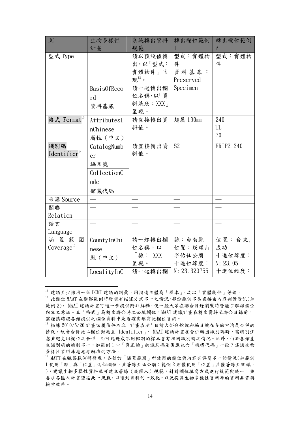| <b>DC</b>                     | 生物多樣性       | 系統轉出資料      | 轉出欄位範例         | 轉出欄位範例         |
|-------------------------------|-------------|-------------|----------------|----------------|
|                               | 計畫          | 規範          |                | $\overline{2}$ |
| 型式 Type                       |             | 請以預設值轉      | 型式:實體物         | 型式:實體物         |
|                               |             | 出,以「型式:     | 件              | 件              |
|                               |             | 實體物件」呈      | 資料基底:          |                |
|                               |             | 現 $^{12}$ 。 | Preserved      |                |
|                               | Basis0fReco | 請一起轉出欄      | Specimen       |                |
|                               | rd          | 位名稱,以「資     |                |                |
|                               | 資料基底        | 料基底:XXX」    |                |                |
|                               |             | 呈現。         |                |                |
| 格式 Format <sup>13</sup>       | AttributesI | 請直接轉出資      | 翅展 190mm       | 240            |
|                               | nChinese    | 料值。         |                | TL             |
|                               | 屬性 (中文)     |             |                | 70             |
| 識別碼                           | CatalogNumb | 請直接轉出資      | S <sub>2</sub> | FRIP21340      |
| Identifier <sup>14</sup>      | er          | 料值。         |                |                |
|                               | 編目號         |             |                |                |
|                               | CollectionC |             |                |                |
|                               | ode         |             |                |                |
|                               | 館藏代碼        |             |                |                |
| 來源 Source                     |             |             |                |                |
| 關聯                            |             |             |                |                |
| Relation                      |             |             |                |                |
| 語言                            |             |             |                |                |
| Language                      |             |             |                |                |
| 涵蓋<br>範<br>圍                  | CountyInChi | 請一起轉出欄      | 縣:台南縣          | 位置:台東,         |
| $\text{Coverage}^{\text{15}}$ | nese        | 位名稱,以       | 位置:崁頭山         | 成功             |
|                               | 縣(中文)       | 「縣: XXX」    | 孚佑仙公廟          | 十進位緯度:         |
|                               |             | 呈現。         | 十進位緯度:         | N: 23.05       |
|                               | LocalityInC | 請一起轉出欄      | N: 23.329755   | 十進位經度:         |

 $\overline{a}$ 

 $^{12}$  建議至少採用一個 DCMI 建議的詞彙,因描述主體為「標本」,故以「實體物件」著錄。<br> $^{13}$  此欄位 MAAT 在觀察範例時發現有描述方式不一之情況,部份範例不易直接由內容判讀資訊(如 範例 2), MAAT 建議計畫可進一步提供附註解釋,使一般大眾在聯合目錄瀏覽時皆能了解該欄位 內容之意涵。且「格式」為轉出聯合時之必填欄位,MAAT 建議計畫在轉出資料至聯合目錄前, 需謹慎確認各館提供之欄位資料中是否確實填寫此欄位資訊。

<sup>14</sup> 根據 2010/5/26 計畫回覆信件內容,計畫表示「目前大部分館號和編目號在各館中均是合併的 情況,故會合併此二欄位對應至 Identifier」, MAAT 建議計書在合併轉出識別碼時,需特別注 意並避免因欄位之合併,而可能造成不同館別的標本會有相同識別碼之情況。此外,由於各館產 生識別碼的機制不一,如範例 1 中「真正的」的識別碼是否應包含「機構代碼」一段?建議生物 多樣性資料庫應思考解決的方法。

<sup>15</sup> MATT 在觀察範例時發現,各館於「涵蓋範圍」所使用的欄位與內容有詳簡不一的情況(如範例 1 使用「縣」與「位置」兩個欄位,並著錄至仙公廟;範例 2 則僅使用「位置」並僅著錄至鄉鎮。 ),建議生物多樣性資料庫可建立著錄(或匯入)規範,針對欄位填寫方式進行規範與統一,並 要求各匯入計畫遵循此一規範,以達到資料的一致化,以及提昇生物多樣性資料庫的資料品質與 檢索效率。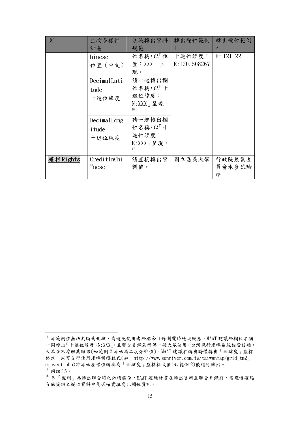| DC        | 生物多樣性<br>計畫                   | 系統轉出資料<br>規範                                         | 轉出欄位範例                  | 轉出欄位範例<br>2           |
|-----------|-------------------------------|------------------------------------------------------|-------------------------|-----------------------|
|           | hinese<br>位置 (中文)             | 位名稱,以「位<br>置: $XXX_+$ 呈<br>現。                        | 十進位經度:<br>E: 120.508267 | E: 121.22             |
|           | DecimalLati<br>tude<br>十進位緯度  | 請一起轉出欄<br>位名稱,以一十<br>進位緯度:<br>$N: XXX_1 20.5$<br>16  |                         |                       |
|           | DecimalLong<br>itude<br>十進位經度 | 請一起轉出欄<br>位名稱,以「十<br>進位經度:<br>$E: XXX + 12$ 現。<br>17 |                         |                       |
| 權利 Rights | CreditInChi<br>$18$ nese      | 請直接轉出資<br>料值。                                        | 國立嘉義大學                  | 行政院農業委<br>員會水產試驗<br>所 |

 $\overline{a}$ 

<sup>16</sup> 原範例值無法判斷南北緯,為避免使用者於聯合目錄瀏覽時造成疑惑,MAAT 建議於欄位名稱 一同轉出「十進位緯度:N:XXX」。且聯合目錄為提供一般大眾使用,台灣現行座標系統相當複雜, 大眾多不瞭解其脈絡(如範例 2 原始為二度分帶值),MAAT 建議在轉出時僅轉出「經緯度」座標 格式,或可自行使用座標轉換程式(如:http://www.sunriver.com.tw/taiwanmap/grid\_tm2\_ convert.php)將原始座標值轉換為「經緯度」座標格式值(如範例 2)後進行轉出。  $17$  同註  $15$ 。

<sup>18</sup> D<br>18 因「權利」為轉出聯合時之必填欄位, MAAT 建議計畫在轉出資料至聯合目錄前, 需謹慎確認 各館提供之欄位資料中是否確實填寫此欄位資訊。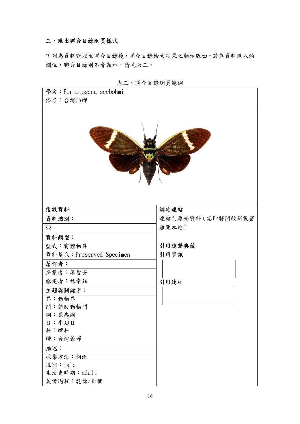### 三、匯出聯合目錄網頁樣式

下列為資料對照至聯合目錄後,聯合目錄檢索結果之顯示版面。若無資料匯入的 欄位,聯合目錄則不會顯示,請見表三。

| 學名:Formotosena seebohmi |                   |
|-------------------------|-------------------|
| 俗名:台灣油蟬                 |                   |
|                         | <b>HIADDER</b>    |
| 後設資料                    | 網站連結              |
| 資料識別:                   | 連結到原始資料 (您即將開啟新視窗 |
| S <sub>2</sub>          | 離開本站)             |
| 資料類型:                   |                   |
| 型式:實體物件                 | 引用這筆典藏            |
| 資料基底:Preserved Specimen | 引用資訊              |
| 著作者:                    |                   |
| 採集者:廖智安                 |                   |
| 鑑定者:林幸鈺                 | 引用連結              |
| 主題與關鍵字:                 |                   |
| 界:動物界                   |                   |
| 門:節肢動物門                 |                   |
| 綱:昆蟲綱                   |                   |
| 目:半翅目                   |                   |
| 科:蟬科                    |                   |
| 種:台灣爺蟬                  |                   |
| 描述:                     |                   |
| 採集方法:掬網                 |                   |
| 性別:male                 |                   |
| 生活史時期: adult            |                   |
| 製備過程:乾燥/針插              |                   |

表三、聯合目錄網頁範例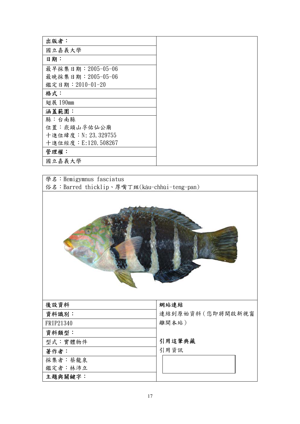| 出版者:                |
|---------------------|
| 國立嘉義大學              |
| 日期:                 |
| 最早採集日期: 2005-05-06  |
| 最晚採集日期: 2005-05-06  |
| 鑑定日期: 2010-01-20    |
| 格式:                 |
| 翅展 190mm            |
| 涵蓋範圍:               |
| 縣:台南縣               |
| 位置: 崁頭山孚佑仙公廟        |
| 十進位緯度: N: 23.329755 |
| 十進位經度: E:120.508267 |
| 管理權:                |
| 國立嘉義大學              |

學名:Hemigymnus fasciatus ·<br>俗名:Barred thicklip、厚嘴丁斑(kâu-chhùi-teng-pan)



| 後設資料      |  |
|-----------|--|
| 資料識別:     |  |
| FRIP21340 |  |
| 資料類型:     |  |
| 型式:實體物件   |  |
| 著作者:      |  |
| 採集者:蔡龍泉   |  |

鑑定者:林沛立

主題與關鍵字:

#### 網站連結

連結到原始資料(您即將開啟新視窗 離開本站)

引用這筆典藏

引用資訊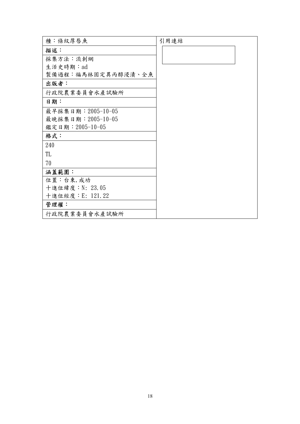| 種:條紋厚唇魚            | 引用連結 |
|--------------------|------|
| 描述:                |      |
| 採集方法:流刺網           |      |
| 生活史時期:ad           |      |
| 製備過程:福馬林固定異丙醇浸漬、全魚 |      |
| 出版者:               |      |
| 行政院農業委員會水產試驗所      |      |
| 日期:                |      |
| 最早採集日期: 2005-10-05 |      |
| 最晚採集日期: 2005-10-05 |      |
| 鑑定日期: 2005-10-05   |      |
| 格式:                |      |
| 240                |      |
| TL                 |      |
| 70                 |      |
| 涵蓋範圍:              |      |
| 位置:台東, 成功          |      |
| 十進位緯度: N: 23.05    |      |
| 十進位經度: E: 121.22   |      |
| 管理權:               |      |
| 行政院農業委員會水產試驗所      |      |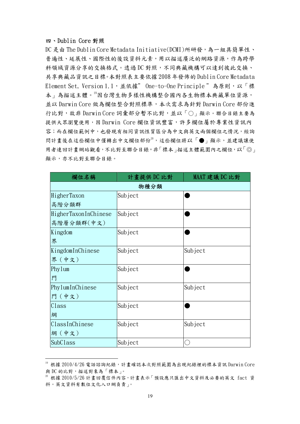#### 四、Dublin Core 對照

 $\overline{a}$ 

DC 是由 The Dublin Core Metadata Initiative(DCMI)所研發,為一組具簡單性、 普遍性、延展性、國際性的後設資料元素,用以描述廣泛的網路資源,作為跨學 科領域資源分享的交換格式。透過 DC 對照,不同典藏機構可以達到彼此交換、 共享典藏品資訊之目標。本對照表主要依據 2008 年發佈的 Dublin Core Metadata Element Set, Version 1.1,並依據" One-to-One Principle "為原則,以「標 本」為描述主體。19因台灣生物多樣性機構整合國內各生物標本典藏單位資源, 並以 Darwin Core 做為欄位整合對照標準,本次需求為針對 Darwin Core 部份進 行比對,故非 Darwin Core 詞彙部分暫不比對,並以「○」顯示。聯合目錄主要為 提供大眾瀏覽使用,因 Darwin Core 欄位資訊豐富,許多欄位屬於專業性資訊內 容;而在欄位範例中,也發現有相同資訊性質區分為中文與英文兩個欄位之情況,經詢 問計畫後在這些欄位中僅轉出中文欄位部份2,這些欄位將以「●」顯示,並建議讓使 用者連回計畫網站觀看,不比對至聯合目錄。非「標本」描述主體範圍內之欄位,以「◎」 顯示,亦不比對至聯合目錄。

| 欄位名稱                 | 計畫提供 DC 比對 | MAAT 建議 DC 比對 |  |  |
|----------------------|------------|---------------|--|--|
| 物種分類                 |            |               |  |  |
| HigherTaxon          | Subject    |               |  |  |
| 高階分類群                |            |               |  |  |
| HigherTaxonInChinese | Subject    |               |  |  |
| 高階層分類群(中文)           |            |               |  |  |
| Kingdom              | Subject    |               |  |  |
| 界                    |            |               |  |  |
| KingdomInChinese     | Subject    | Subject       |  |  |
| 界(中文)                |            |               |  |  |
| Phylum               | Subject    |               |  |  |
| 門                    |            |               |  |  |
| PhylumInChinese      | Subject    | Subject       |  |  |
| 門 (中文)               |            |               |  |  |
| Class                | Subject    |               |  |  |
| 綱                    |            |               |  |  |
| ClassInChinese       | Subject    | Subject       |  |  |
| 綱(中文)                |            |               |  |  |
| SubClass             | Subject    |               |  |  |

 $^{19}$  根據 2010/4/26 電話諮詢紀錄, 計畫確認本次對照範圍為出現紀錄裡的標本資訊 Darwin Core 與 DC 的比對,描述對象為「標本」。<br>20 根據 2010/5/26 計書回覆信件內容,計書表示「預設應只匯出中文資料及必要的英文 fact 資

料。英文資料有數位文化入口網負責」。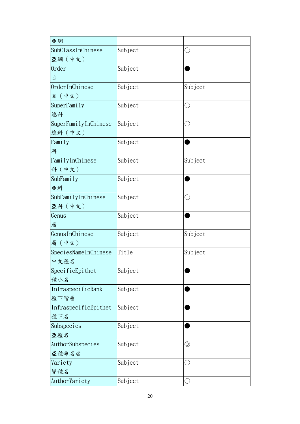| 亞網                   |         |                |
|----------------------|---------|----------------|
| SubClassInChinese    | Subject | С              |
| 亞網(中文)               |         |                |
| 0rder                | Subject |                |
| 目                    |         |                |
| OrderInChinese       | Subject | Subject        |
| 目 (中文)               |         |                |
| SuperFamily          | Subject | $(\ )$         |
| 總科                   |         |                |
| SuperFamilyInChinese | Subject | $(\ )$         |
| 總科 (中文)              |         |                |
| Family               | Subject |                |
| 科                    |         |                |
| FamilyInChinese      | Subject | Subject        |
| 科 (中文)               |         |                |
| SubFamily            | Subject |                |
| 亞科                   |         |                |
| SubFamilyInChinese   | Subject | $\bigcirc$     |
| 亞科 (中文)              |         |                |
| Genus                | Subject |                |
| 屬                    |         |                |
| GenusInChinese       | Subject | Subject        |
| 屬(中文)                |         |                |
| SpeciesNameInChinese | Title   | Subject        |
| 中文種名                 |         |                |
| SpecificEpithet      | Subject |                |
| 種小名                  |         |                |
| InfraspecificRank    | Subject |                |
| 種下階層                 |         |                |
| InfraspecificEpithet | Subject |                |
| 種下名                  |         |                |
| Subspecies           | Subject |                |
| 亞種名                  |         |                |
| AuthorSubspecies     | Subject | $\circledcirc$ |
| 亞種命名者                |         |                |
| Variety              | Subject | ι.             |
| 變種名                  |         |                |
| AuthorVariety        | Subject |                |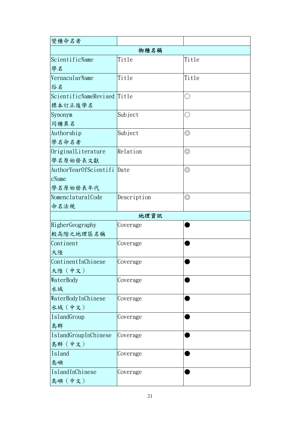| 變種命名者                       |             |                |  |  |
|-----------------------------|-------------|----------------|--|--|
| 物種名稱                        |             |                |  |  |
| ScientificName              | Title       | Title          |  |  |
| 學名                          |             |                |  |  |
| VernacularName              | Title       | Title          |  |  |
| 俗名                          |             |                |  |  |
| ScientificNameRevised Title |             | C)             |  |  |
| 標本訂正後學名                     |             |                |  |  |
| Synonym                     | Subject     | $(\ )$         |  |  |
| 同種異名                        |             |                |  |  |
| Authorship                  | Subject     | $\circledcirc$ |  |  |
| 學名命名者                       |             |                |  |  |
| OriginalLiterature          | Relation    | $\circledcirc$ |  |  |
| 學名原始發表文獻                    |             |                |  |  |
| AuthorYearOfScientifi       | Date        | $\circledcirc$ |  |  |
| cName                       |             |                |  |  |
| 學名原始發表年代                    |             |                |  |  |
| NomenclaturalCode           | Description | $\circledcirc$ |  |  |
| 命名法規                        |             |                |  |  |
|                             | 地理資訊        |                |  |  |
| HigherGeography             | Coverage    |                |  |  |
| 較高階之地理區名稱                   |             |                |  |  |
| Continent                   | Coverage    |                |  |  |
| 大陸                          |             |                |  |  |
| ContinentInChinese          | Coverage    |                |  |  |
| 大陸 (中文)                     |             |                |  |  |
| WaterBody                   | Coverage    |                |  |  |
| 水域                          |             |                |  |  |
| WaterBodyInChinese          | Coverage    |                |  |  |
| 水域(中文)                      |             |                |  |  |
| IslandGroup                 | Coverage    |                |  |  |
| 島群                          |             |                |  |  |
| IslandGroupInChinese        | Coverage    |                |  |  |
| 島群(中文)                      |             |                |  |  |
| Island                      | Coverage    |                |  |  |
| 島嶼                          |             |                |  |  |
| IslandInChinese             | Coverage    |                |  |  |
| 島嶼 (中文)                     |             |                |  |  |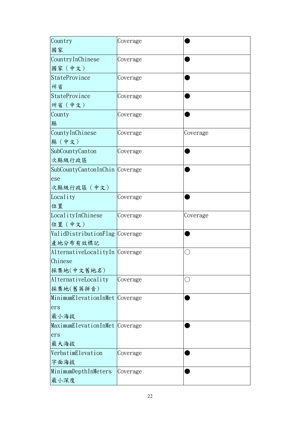| Country<br>國家                  | Coverage |          |
|--------------------------------|----------|----------|
| CountryInChinese               | Coverage |          |
| 國家(中文)<br>StateProvince        |          |          |
| 州省                             | Coverage |          |
| StateProvince                  | Coverage |          |
| 州省 (中文)                        |          |          |
| County                         | Coverage |          |
| 縣                              |          |          |
| CountyInChinese                | Coverage | Coverage |
| 縣(中文)                          |          |          |
| SubCountyCanton                | Coverage |          |
| 次縣級行政區                         |          |          |
| SubCountyCantonInChin Coverage |          |          |
| ese<br>次縣級行政區 (中文)             |          |          |
| Locality                       | Coverage |          |
| 位置                             |          |          |
| LocalityInChinese              | Coverage | Coverage |
|                                |          |          |
| 位置 (中文)                        |          |          |
| ValidDistributionFlag Coverage |          |          |
| 產地分布有效標記                       |          |          |
| AlternativeLocalityIn Coverage |          | С        |
| Chinese                        |          |          |
| 採集地(中文舊地名)                     |          |          |
| AlternativeLocality            | Coverage |          |
| 採集地(舊英拼音)                      |          |          |
| MinimumElevationInMet Coverage |          |          |
| ers<br>最小海拔                    |          |          |
| MaximumElevationInMet Coverage |          |          |
| ers                            |          |          |
| 最大海拔                           |          |          |
| VerbatimElevation              | Coverage |          |
| 字面海拔                           |          |          |
| MinimumDepthInMeters<br>最小深度   | Coverage |          |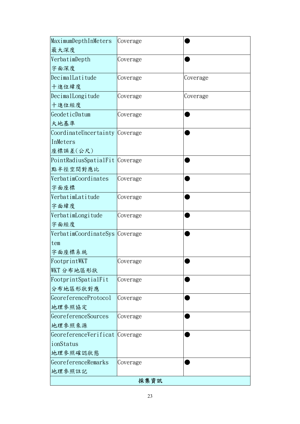| MaximumDepthInMeters           | Coverage |          |  |  |
|--------------------------------|----------|----------|--|--|
| 最大深度                           |          |          |  |  |
| VerbatimDepth                  | Coverage |          |  |  |
| 字面深度                           |          |          |  |  |
| DecimalLatitude                | Coverage | Coverage |  |  |
| 十進位緯度                          |          |          |  |  |
| DecimalLongitude               | Coverage | Coverage |  |  |
| 十進位經度                          |          |          |  |  |
| GeodeticDatum                  | Coverage |          |  |  |
| 大地基準                           |          |          |  |  |
| CoordinateUncertainty Coverage |          |          |  |  |
| InMeters                       |          |          |  |  |
| 座標誤差(公尺)                       |          |          |  |  |
| PointRadiusSpatialFit Coverage |          |          |  |  |
| 點半徑空間對應比                       |          |          |  |  |
| VerbatimCoordinates            | Coverage |          |  |  |
| 字面座標                           |          |          |  |  |
| VerbatimLatitude               | Coverage |          |  |  |
| 字面緯度                           |          |          |  |  |
| VerbatimLongitude              | Coverage |          |  |  |
| 字面經度                           |          |          |  |  |
| VerbatimCoordinateSys Coverage |          |          |  |  |
| tem                            |          |          |  |  |
| 字面座標系統                         |          |          |  |  |
| FootprintWKT                   | Coverage |          |  |  |
| WKT 分布地區形狀                     |          |          |  |  |
| FootprintSpatialFit            | Coverage |          |  |  |
| 分布地區形狀對應                       |          |          |  |  |
| GeoreferenceProtocol           | Coverage |          |  |  |
| 地理參照協定                         |          |          |  |  |
| GeoreferenceSources            | Coverage |          |  |  |
| 地理參照來源                         |          |          |  |  |
| GeoreferenceVerificat Coverage |          |          |  |  |
| ionStatus                      |          |          |  |  |
| 地理参照確認狀態                       |          |          |  |  |
| GeoreferenceRemarks            | Coverage |          |  |  |
| 地理參照註記                         |          |          |  |  |
| 採集資訊                           |          |          |  |  |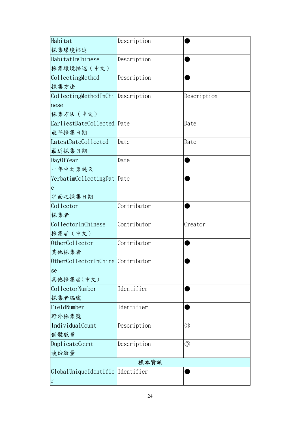| Habitat                           | Description |                |
|-----------------------------------|-------------|----------------|
| 採集環境描述                            |             |                |
| HabitatInChinese                  | Description |                |
| 採集環境描述 (中文)                       |             |                |
| CollectingMethod                  | Description |                |
| 採集方法                              |             |                |
| CollectingMethodInChi Description |             | Description    |
| nese                              |             |                |
| 採集方法 (中文)                         |             |                |
| EarliestDateCollected Date        |             | Date           |
| 最早採集日期                            |             |                |
| LatestDateCollected               | Date        | Date           |
| 最近採集日期                            |             |                |
| DayOfYear                         | Date        |                |
| 一年中之第幾天                           |             |                |
| VerbatimCollectingDat Date        |             |                |
| e                                 |             |                |
| 字面之採集日期                           |             |                |
| Collector                         | Contributor |                |
| 採集者                               |             |                |
| CollectorInChinese                | Contributor | Creator        |
| 採集者 (中文)                          |             |                |
| OtherCollector                    | Contributor |                |
| 其他採集者                             |             |                |
| OtherCollectorInChine Contributor |             |                |
| se                                |             |                |
| 其他採集者(中文)                         |             |                |
| CollectorNumber                   | Identifier  |                |
| 採集者編號                             |             |                |
| FieldNumber                       | Identifier  |                |
| 野外採集號                             |             |                |
| IndividualCount                   | Description | $\circledcirc$ |
| 個體數量                              |             |                |
| DuplicateCount                    | Description | $\circledcirc$ |
| 複份數量                              |             |                |
| 標本資訊                              |             |                |
| GlobalUniqueIdentifie Identifier  |             |                |
| $\mathbf r$                       |             |                |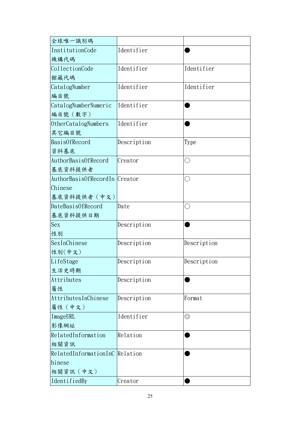| 全球唯一識別碼                        |             |                |
|--------------------------------|-------------|----------------|
| InstitutionCode                | Identifier  |                |
| 機構代碼                           |             |                |
| CollectionCode                 | Identifier  | Identifier     |
| 館藏代碼                           |             |                |
| CatalogNumber                  | Identifier  | Identifier     |
| 編目號                            |             |                |
| CatalogNumberNumeric           | Identifier  |                |
| 編目號 (數字)                       |             |                |
| 0therCatalogNumbers            | Identifier  |                |
| 其它編目號                          |             |                |
| BasisOfRecord                  | Description | Type           |
| 資料基底                           |             |                |
| AuthorBasisOfRecord            | Creator     | ( )            |
| 基底資料提供者                        |             |                |
| AuthorBasisOfRecordIn Creator  |             | ( )            |
| Chinese                        |             |                |
| 基底資料提供者 (中文)                   |             |                |
| DateBasisOfRecord              | Date        | O              |
| 基底資料提供日期                       |             |                |
| Sex                            | Description |                |
| 性別                             |             |                |
| SexInChinese                   | Description | Description    |
| 性别(中文)                         |             |                |
| LifeStage                      | Description | Description    |
| 生活史時期                          |             |                |
| Attributes                     | Description |                |
| 屬性                             |             |                |
| AttributesInChinese            | Description | Format         |
| 屬性 (中文)                        |             |                |
| ImageURL                       | Identifier  | $\circledcirc$ |
| 影像網址                           |             |                |
| RelatedInformation             | Relation    |                |
| 相關資訊                           |             |                |
| RelatedInformationInC Relation |             |                |
| hinese                         |             |                |
| 相關資訊 (中文)                      |             |                |
| IdentifiedBy                   | Creator     |                |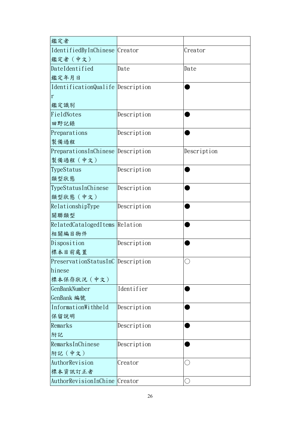| 鑑定者                               |             |             |
|-----------------------------------|-------------|-------------|
| IdentifiedByInChinese Creator     |             | Creator     |
| 鑑定者 (中文)                          |             |             |
| DateIdentified                    | Date        | Date        |
| 鑑定年月日                             |             |             |
| IdentificationQualife Description |             |             |
| $\mathbf r$                       |             |             |
| 鑑定識別                              |             |             |
| FieldNotes                        | Description |             |
| 田野記錄                              |             |             |
| Preparations                      | Description |             |
| 製備過程                              |             |             |
| PreparationsInChinese Description |             | Description |
| 製備過程 (中文)                         |             |             |
| TypeStatus                        | Description |             |
| 類型狀態                              |             |             |
| TypeStatusInChinese               | Description |             |
| 類型狀態 (中文)                         |             |             |
| RelationshipType                  | Description |             |
| 關聯類型                              |             |             |
| RelatedCatalogedItems Relation    |             |             |
| 相關編目物件                            |             |             |
| Disposition                       | Description |             |
| 標本目前處置                            |             |             |
| PreservationStatusInC Description |             |             |
| hinese                            |             |             |
| 標本保存狀況 (中文)                       |             |             |
| GenBankNumber                     | Identifier  |             |
| GenBank 編號                        |             |             |
| InformationWithheld               | Description |             |
| 保留說明                              |             |             |
| Remarks                           | Description |             |
| 附記                                |             |             |
| RemarksInChinese                  | Description |             |
| 附記 (中文)                           |             |             |
| AuthorRevision                    | Creator     |             |
| 標本資訊訂正者                           |             |             |
| AuthorRevisionInChine Creator     |             |             |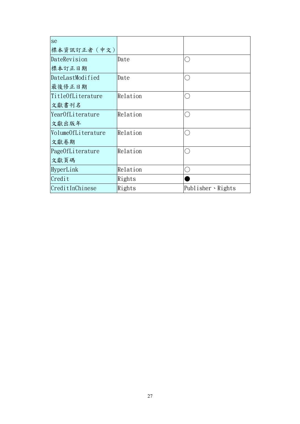| se                 |          |                          |
|--------------------|----------|--------------------------|
| 標本資訊訂正者 (中文)       |          |                          |
| DateRevision       | Date     |                          |
| 標本訂正日期             |          |                          |
| DateLastModified   | Date     |                          |
| 最後修正日期             |          |                          |
| Title0fLiterature  | Relation | .<br>.                   |
| 文獻書刊名              |          |                          |
| Year0fLiterature   | Relation |                          |
| 文獻出版年              |          |                          |
| VolumeOfLiterature | Relation |                          |
| 文獻卷期               |          |                          |
| Page0fLiterature   | Relation |                          |
| 文獻頁碼               |          |                          |
| HyperLink          | Relation |                          |
| Credit             | Rights   |                          |
| CreditInChinese    | Rights   | Publisher $\cdot$ Rights |